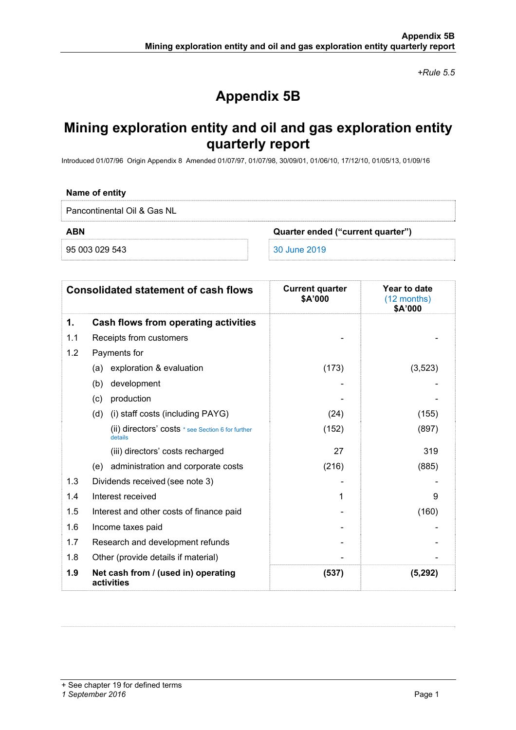*+Rule 5.5* 

# **Appendix 5B**

## **Mining exploration entity and oil and gas exploration entity quarterly report**

Introduced 01/07/96 Origin Appendix 8 Amended 01/07/97, 01/07/98, 30/09/01, 01/06/10, 17/12/10, 01/05/13, 01/09/16

#### **Name of entity**

Pancontinental Oil & Gas NL

**ABN Quarter ended ("current quarter")** 

95 003 029 543 30 June 2019

| <b>Consolidated statement of cash flows</b> |                                                              | <b>Current quarter</b><br>\$A'000 | Year to date<br>(12 months)<br>\$A'000 |  |
|---------------------------------------------|--------------------------------------------------------------|-----------------------------------|----------------------------------------|--|
| 1.                                          | Cash flows from operating activities                         |                                   |                                        |  |
| 1.1                                         | Receipts from customers                                      |                                   |                                        |  |
| 1.2                                         | Payments for                                                 |                                   |                                        |  |
|                                             | (a) exploration & evaluation                                 | (173)                             | (3, 523)                               |  |
|                                             | development<br>(b)                                           |                                   |                                        |  |
|                                             | production<br>(c)                                            |                                   |                                        |  |
|                                             | (i) staff costs (including PAYG)<br>(d)                      | (24)                              | (155)                                  |  |
|                                             | (ii) directors' costs * see Section 6 for further<br>details | (152)                             | (897)                                  |  |
|                                             | (iii) directors' costs recharged                             | 27                                | 319                                    |  |
|                                             | (e) administration and corporate costs                       | (216)                             | (885)                                  |  |
| 1.3                                         | Dividends received (see note 3)                              |                                   |                                        |  |
| 1.4                                         | Interest received                                            | 1                                 | 9                                      |  |
| 1.5                                         | Interest and other costs of finance paid                     |                                   | (160)                                  |  |
| 1.6                                         | Income taxes paid                                            |                                   |                                        |  |
| 1.7                                         | Research and development refunds                             |                                   |                                        |  |
| 1.8                                         | Other (provide details if material)                          |                                   |                                        |  |
| 1.9                                         | Net cash from / (used in) operating<br>activities            | (537)                             | (5,292)                                |  |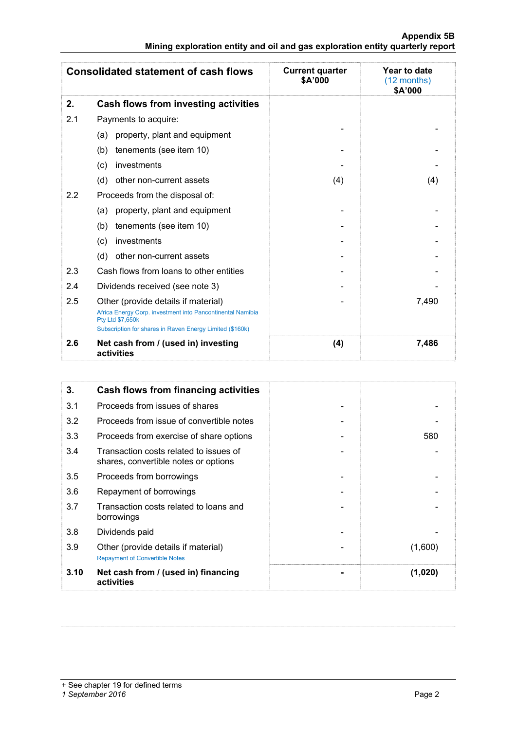#### **Appendix 5B Mining exploration entity and oil and gas exploration entity quarterly report**

| <b>Consolidated statement of cash flows</b> |                                                                                                                              | <b>Current quarter</b><br>\$A'000 | Year to date<br>$(12$ months)<br>\$A'000 |  |
|---------------------------------------------|------------------------------------------------------------------------------------------------------------------------------|-----------------------------------|------------------------------------------|--|
| 2.                                          | Cash flows from investing activities                                                                                         |                                   |                                          |  |
| 2.1                                         | Payments to acquire:                                                                                                         |                                   |                                          |  |
|                                             | property, plant and equipment<br>(a)                                                                                         |                                   |                                          |  |
|                                             | tenements (see item 10)<br>(b)                                                                                               |                                   |                                          |  |
|                                             | investments<br>(c)                                                                                                           |                                   |                                          |  |
|                                             | (d)<br>other non-current assets                                                                                              | (4)                               | (4)                                      |  |
| 2.2                                         | Proceeds from the disposal of:                                                                                               |                                   |                                          |  |
|                                             | property, plant and equipment<br>(a)                                                                                         |                                   |                                          |  |
|                                             | tenements (see item 10)<br>(b)                                                                                               |                                   |                                          |  |
|                                             | investments<br>(c)                                                                                                           |                                   |                                          |  |
|                                             | (d)<br>other non-current assets                                                                                              |                                   |                                          |  |
| 2.3                                         | Cash flows from loans to other entities                                                                                      |                                   |                                          |  |
| 2.4                                         | Dividends received (see note 3)                                                                                              |                                   |                                          |  |
| 2.5                                         | Other (provide details if material)<br>Africa Energy Corp. investment into Pancontinental Namibia<br><b>Pty Ltd \$7,650k</b> |                                   | 7,490                                    |  |
|                                             | Subscription for shares in Raven Energy Limited (\$160k)                                                                     |                                   |                                          |  |
| 2.6                                         | Net cash from / (used in) investing<br>activities                                                                            | (4)                               | 7,486                                    |  |

| 3.   | <b>Cash flows from financing activities</b>                                    |         |
|------|--------------------------------------------------------------------------------|---------|
| 3.1  | Proceeds from issues of shares                                                 |         |
| 3.2  | Proceeds from issue of convertible notes                                       |         |
| 3.3  | Proceeds from exercise of share options                                        | 580     |
| 3.4  | Transaction costs related to issues of<br>shares, convertible notes or options |         |
| 3.5  | Proceeds from borrowings                                                       |         |
| 3.6  | Repayment of borrowings                                                        |         |
| 3.7  | Transaction costs related to loans and<br>borrowings                           |         |
| 3.8  | Dividends paid                                                                 |         |
| 3.9  | Other (provide details if material)<br><b>Repayment of Convertible Notes</b>   | (1,600) |
| 3.10 | Net cash from / (used in) financing<br>activities                              | (1,020) |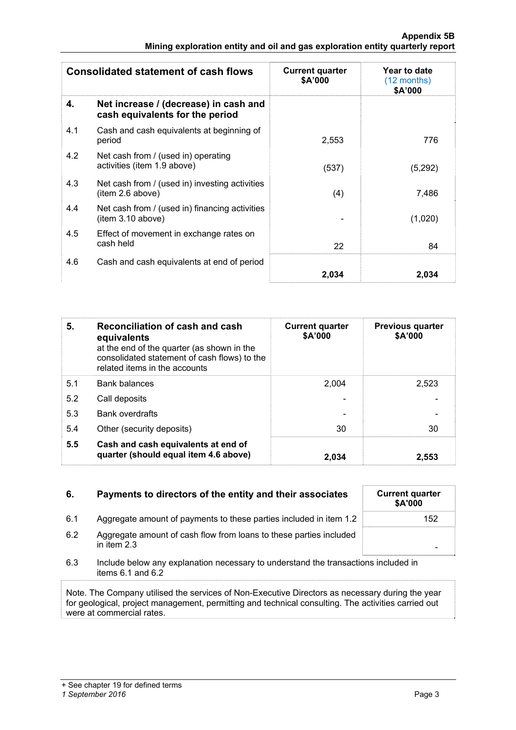| <b>Consolidated statement of cash flows</b> |                                                                          | <b>Current quarter</b><br>\$A'000 | Year to date<br>$(12 \text{ months})$<br>\$A'000 |
|---------------------------------------------|--------------------------------------------------------------------------|-----------------------------------|--------------------------------------------------|
| 4.                                          | Net increase / (decrease) in cash and<br>cash equivalents for the period |                                   |                                                  |
| 4.1                                         | Cash and cash equivalents at beginning of<br>period                      | 2,553                             | 776                                              |
| 4.2                                         | Net cash from / (used in) operating<br>activities (item 1.9 above)       | (537)                             | (5,292)                                          |
| 4.3                                         | Net cash from / (used in) investing activities<br>item 2.6 above)        | (4)                               | 7,486                                            |
| 4.4                                         | Net cash from / (used in) financing activities<br>(item 3.10 above)      |                                   | (1,020)                                          |
| 4.5                                         | Effect of movement in exchange rates on<br>cash held                     | 22                                | 84                                               |
| 4.6                                         | Cash and cash equivalents at end of period                               | 2,034                             | 2,034                                            |

| 5.  | Reconciliation of cash and cash<br>equivalents<br>at the end of the quarter (as shown in the<br>consolidated statement of cash flows) to the<br>related items in the accounts | <b>Current quarter</b><br>\$A'000 | <b>Previous quarter</b><br>\$A'000 |
|-----|-------------------------------------------------------------------------------------------------------------------------------------------------------------------------------|-----------------------------------|------------------------------------|
| 5.1 | <b>Bank balances</b>                                                                                                                                                          | 2.004                             | 2,523                              |
| 5.2 | Call deposits                                                                                                                                                                 |                                   |                                    |
| 5.3 | <b>Bank overdrafts</b>                                                                                                                                                        |                                   |                                    |
| 5.4 | Other (security deposits)                                                                                                                                                     | 30                                | 30                                 |
| 5.5 | Cash and cash equivalents at end of<br>quarter (should equal item 4.6 above)                                                                                                  | 2.034                             | 2.553                              |

| 6.  | Payments to directors of the entity and their associates                                                    | <b>Current quarter</b><br><b>\$A'000</b> |
|-----|-------------------------------------------------------------------------------------------------------------|------------------------------------------|
| 6.1 | Aggregate amount of payments to these parties included in item 1.2                                          | 152                                      |
| 6.2 | Aggregate amount of cash flow from loans to these parties included<br>in item $2.3$                         |                                          |
| 6.3 | Include below any explanation necessary to understand the transactions included in<br>items $6.1$ and $6.2$ |                                          |

Note. The Company utilised the services of Non-Executive Directors as necessary during the year for geological, project management, permitting and technical consulting. The activities carried out were at commercial rates.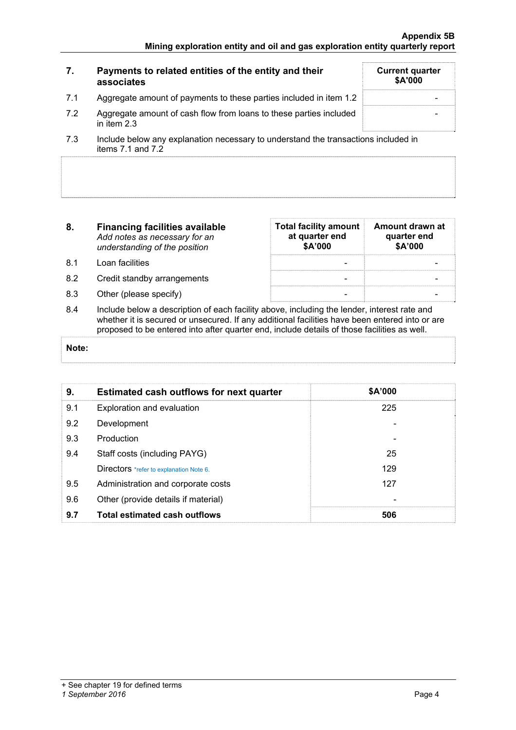| 7.  | Payments to related entities of the entity and their<br>associates                                                   | <b>Current quarter</b><br>\$A'000 |
|-----|----------------------------------------------------------------------------------------------------------------------|-----------------------------------|
| 7.1 | Aggregate amount of payments to these parties included in item 1.2                                                   |                                   |
| 7.2 | Aggregate amount of cash flow from loans to these parties included<br>in item $2.3$                                  |                                   |
|     | المزاوية والمراجعين والمستقصص والمستقطع والمستقطع والمستواد والمستحدث والمستحدث والمستحدث والمستحدث والمستقر والمسار |                                   |

- 7.3 Include below any explanation necessary to understand the transactions included in items 7.1 and 7.2
- **8. Financing facilities available** *Add notes as necessary for an understanding of the position*
- 8.1 Loan facilities
- 8.2 Credit standby arrangements
- 8.3 Other (please specify)

| <b>Total facility amount</b><br>at quarter end<br>\$A'000 | Amount drawn at<br>quarter end<br>\$A'000 |
|-----------------------------------------------------------|-------------------------------------------|
|                                                           |                                           |
|                                                           |                                           |
|                                                           |                                           |

8.4 Include below a description of each facility above, including the lender, interest rate and whether it is secured or unsecured. If any additional facilities have been entered into or are proposed to be entered into after quarter end, include details of those facilities as well.

#### **Note:**

| 9.  | <b>Estimated cash outflows for next quarter</b> | \$A'000 |  |
|-----|-------------------------------------------------|---------|--|
| 9.1 | Exploration and evaluation                      | 225     |  |
| 9.2 | Development                                     |         |  |
| 9.3 | Production                                      |         |  |
| 9.4 | Staff costs (including PAYG)                    | 25      |  |
|     | Directors *refer to explanation Note 6.         | 129     |  |
| 9.5 | Administration and corporate costs              | 127     |  |
| 9.6 | Other (provide details if material)             |         |  |
| 9.7 | <b>Total estimated cash outflows</b>            | 506     |  |